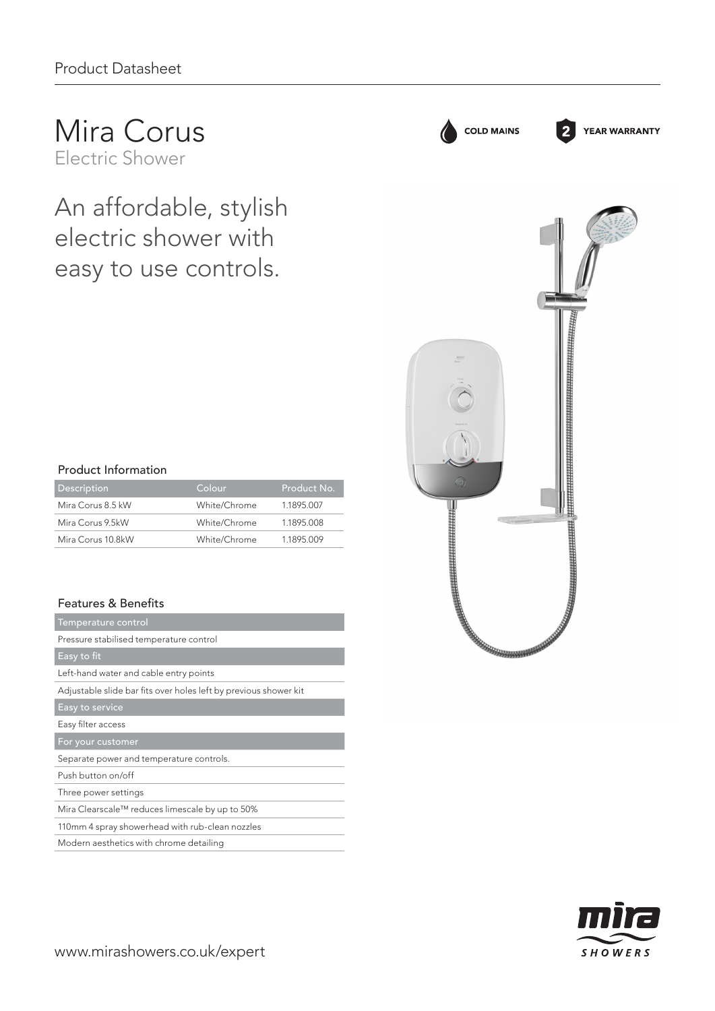## Mira Corus Electric Shower

An affordable, stylish electric shower with easy to use controls.

| <b>Product Information</b> |              |             |
|----------------------------|--------------|-------------|
| Description                | Colour       | Product No. |
| Mira Corus 8.5 kW          | White/Chrome | 1.1895.007  |
| Mira Corus 9.5kW           | White/Chrome | 1.1895.008  |
| Mira Corus 10.8kW          | White/Chrome | 1.1895.009  |

## Features & Benefits

| Temperature control                                              |  |  |
|------------------------------------------------------------------|--|--|
| Pressure stabilised temperature control                          |  |  |
| Easy to fit                                                      |  |  |
| Left-hand water and cable entry points                           |  |  |
| Adjustable slide bar fits over holes left by previous shower kit |  |  |
| Easy to service                                                  |  |  |
| Easy filter access                                               |  |  |
| For your customer                                                |  |  |
| Separate power and temperature controls.                         |  |  |
| Push button on/off                                               |  |  |
| Three power settings                                             |  |  |
|                                                                  |  |  |
| Mira Clearscale™ reduces limescale by up to 50%                  |  |  |
| 110mm 4 spray showerhead with rub-clean nozzles                  |  |  |

**ANGELIA BERGERIA ETA ERRETARIA** 7777733

**COLD MAINS** 

**YEAR WARRANTY**